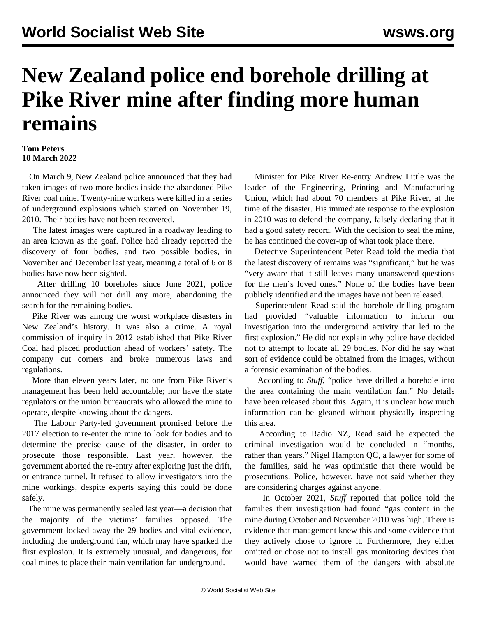## **New Zealand police end borehole drilling at Pike River mine after finding more human remains**

## **Tom Peters 10 March 2022**

 On March 9, New Zealand police announced that they had taken images of two more bodies inside the abandoned Pike River coal mine. Twenty-nine workers were killed in a series of underground explosions which started on November 19, 2010. Their bodies have not been recovered.

 The latest images were captured in a roadway leading to an area known as the goaf. Police had already reported the discovery of four bodies, and two possible bodies, in [November](/en/articles/2021/11/22/pike-n22.html) and [December](/en/articles/2021/12/21/pike-d21.html) last year, meaning a total of 6 or 8 bodies have now been sighted.

 After drilling 10 boreholes since June 2021, police announced they will not drill any more, abandoning the search for the remaining bodies.

 Pike River was among the worst workplace disasters in New Zealand's history. It was also a crime. A royal commission of inquiry in 2012 established that Pike River Coal had placed production ahead of workers' safety. The company cut corners and broke numerous laws and regulations.

 More than eleven years later, no one from Pike River's management has been held accountable; nor have the state regulators or the union bureaucrats who allowed the mine to operate, despite knowing about the dangers.

 The Labour Party-led government promised before the 2017 election to re-enter the mine to look for bodies and to determine the precise cause of the disaster, in order to prosecute those responsible. Last year, however, the government aborted the re-entry after exploring just the drift, or entrance tunnel. It refused to allow investigators into the mine workings, despite experts saying this could be done safely.

 The mine was permanently sealed last year—a decision that the majority of the victims' families opposed. The government locked away the 29 bodies and vital evidence, including the underground fan, which may have sparked the first explosion. It is extremely unusual, and dangerous, for coal mines to place their main ventilation fan underground.

 Minister for Pike River Re-entry Andrew Little was the leader of the Engineering, Printing and Manufacturing Union, which had about 70 members at Pike River, at the time of the disaster. His immediate response to the explosion in 2010 was to defend the company, falsely declaring that it had a good safety record. With the decision to seal the mine, he has continued the cover-up of what took place there.

 Detective Superintendent Peter Read told the media that the latest discovery of remains was "significant," but he was "very aware that it still leaves many unanswered questions for the men's loved ones." None of the bodies have been publicly identified and the images have not been released.

 Superintendent Read said the borehole drilling program had provided "valuable information to inform our investigation into the underground activity that led to the first explosion." He did not explain why police have decided not to attempt to locate all 29 bodies. Nor did he say what sort of evidence could be obtained from the images, without a forensic examination of the bodies.

 According to *Stuff*, "police have drilled a borehole into the area containing the main ventilation fan." No details have been released about this. Again, it is unclear how much information can be gleaned without physically inspecting this area.

 According to Radio NZ, Read said he expected the criminal investigation would be concluded in "months, rather than years." Nigel Hampton QC, a lawyer for some of the families, said he was optimistic that there would be prosecutions. Police, however, have not said whether they are considering charges against anyone.

 In October 2021, *Stuff* reported that police told the families their investigation had found "gas content in the mine during October and November 2010 was high. There is evidence that management knew this and some evidence that they actively chose to ignore it. Furthermore, they either omitted or chose not to install gas monitoring devices that would have warned them of the dangers with absolute